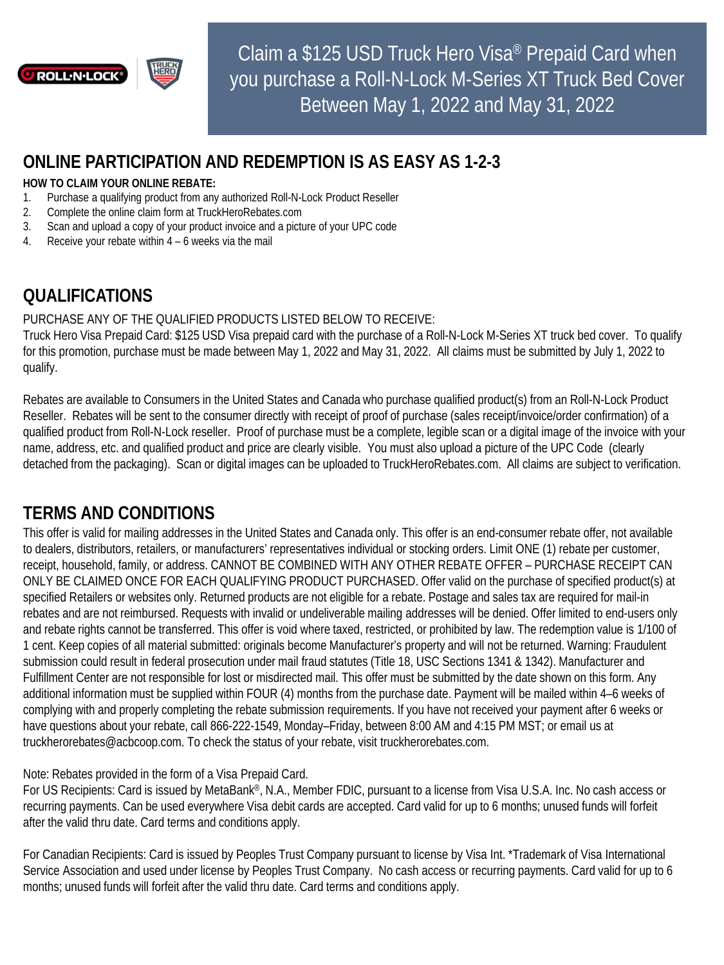

# **ONLINE PARTICIPATION AND REDEMPTION IS AS EASY AS 1-2-3**

#### **HOW TO CLAIM YOUR ONLINE REBATE:**

- 1. Purchase a qualifying product from any authorized Roll-N-Lock Product Reseller
- 2. Complete the online claim form at TruckHeroRebates.com
- 3. Scan and upload a copy of your product invoice and a picture of your UPC code
- 4. Receive your rebate within 4 6 weeks via the mail

# **QUALIFICATIONS**

#### PURCHASE ANY OF THE QUALIFIED PRODUCTS LISTED BELOW TO RECEIVE:

Truck Hero Visa Prepaid Card: \$125 USD Visa prepaid card with the purchase of a Roll-N-Lock M-Series XT truck bed cover. To qualify for this promotion, purchase must be made between May 1, 2022 and May 31, 2022. All claims must be submitted by July 1, 2022 to qualify.

Rebates are available to Consumers in the United States and Canada who purchase qualified product(s) from an Roll-N-Lock Product Reseller. Rebates will be sent to the consumer directly with receipt of proof of purchase (sales receipt/invoice/order confirmation) of a qualified product from Roll-N-Lock reseller. Proof of purchase must be a complete, legible scan or a digital image of the invoice with your name, address, etc. and qualified product and price are clearly visible. You must also upload a picture of the UPC Code (clearly detached from the packaging). Scan or digital images can be uploaded to TruckHeroRebates.com. All claims are subject to verification.

### **TERMS AND CONDITIONS**

This offer is valid for mailing addresses in the United States and Canada only. This offer is an end-consumer rebate offer, not available to dealers, distributors, retailers, or manufacturers' representatives individual or stocking orders. Limit ONE (1) rebate per customer, receipt, household, family, or address. CANNOT BE COMBINED WITH ANY OTHER REBATE OFFER – PURCHASE RECEIPT CAN ONLY BE CLAIMED ONCE FOR EACH QUALIFYING PRODUCT PURCHASED. Offer valid on the purchase of specified product(s) at specified Retailers or websites only. Returned products are not eligible for a rebate. Postage and sales tax are required for mail-in rebates and are not reimbursed. Requests with invalid or undeliverable mailing addresses will be denied. Offer limited to end-users only and rebate rights cannot be transferred. This offer is void where taxed, restricted, or prohibited by law. The redemption value is 1/100 of 1 cent. Keep copies of all material submitted: originals become Manufacturer's property and will not be returned. Warning: Fraudulent submission could result in federal prosecution under mail fraud statutes (Title 18, USC Sections 1341 & 1342). Manufacturer and Fulfillment Center are not responsible for lost or misdirected mail. This offer must be submitted by the date shown on this form. Any additional information must be supplied within FOUR (4) months from the purchase date. Payment will be mailed within 4–6 weeks of complying with and properly completing the rebate submission requirements. If you have not received your payment after 6 weeks or have questions about your rebate, call 866-222-1549, Monday–Friday, between 8:00 AM and 4:15 PM MST; or email us at truckherorebates@acbcoop.com. To check the status of your rebate, visit truckherorebates.com.

Note: Rebates provided in the form of a Visa Prepaid Card.

For US Recipients: Card is issued by MetaBank®, N.A., Member FDIC, pursuant to a license from Visa U.S.A. Inc. No cash access or recurring payments. Can be used everywhere Visa debit cards are accepted. Card valid for up to 6 months; unused funds will forfeit after the valid thru date. Card terms and conditions apply.

For Canadian Recipients: Card is issued by Peoples Trust Company pursuant to license by Visa Int. \*Trademark of Visa International Service Association and used under license by Peoples Trust Company. No cash access or recurring payments. Card valid for up to 6 months; unused funds will forfeit after the valid thru date. Card terms and conditions apply.